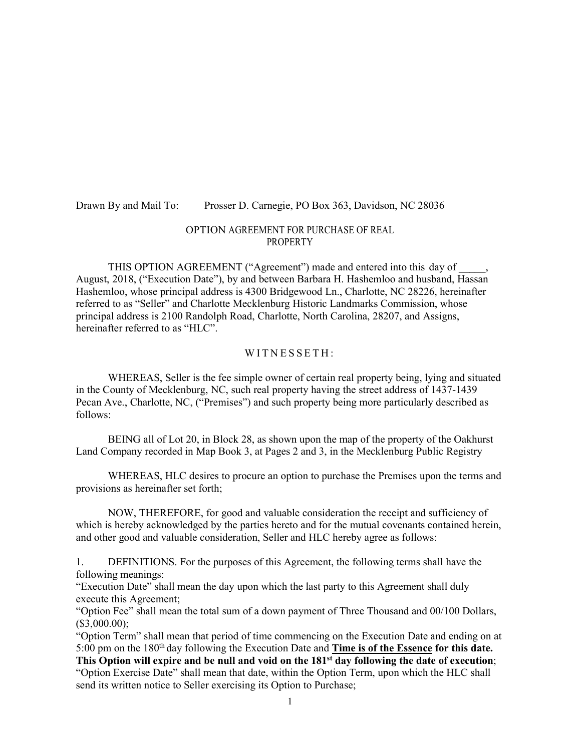#### Drawn By and Mail To: Prosser D. Carnegie, PO Box 363, Davidson, NC 28036

# OPTION AGREEMENT FOR PURCHASE OF REAL PROPERTY

THIS OPTION AGREEMENT ("Agreement") made and entered into this day of August, 2018, ("Execution Date"), by and between Barbara H. Hashemloo and husband, Hassan Hashemloo, whose principal address is 4300 Bridgewood Ln., Charlotte, NC 28226, hereinafter referred to as "Seller" and Charlotte Mecklenburg Historic Landmarks Commission, whose principal address is 2100 Randolph Road, Charlotte, North Carolina, 28207, and Assigns, hereinafter referred to as "HLC".

#### WITNESSETH:

WHEREAS, Seller is the fee simple owner of certain real property being, lying and situated in the County of Mecklenburg, NC, such real property having the street address of 1437-1439 Pecan Ave., Charlotte, NC, ("Premises") and such property being more particularly described as follows:

BEING all of Lot 20, in Block 28, as shown upon the map of the property of the Oakhurst Land Company recorded in Map Book 3, at Pages 2 and 3, in the Mecklenburg Public Registry

WHEREAS, HLC desires to procure an option to purchase the Premises upon the terms and provisions as hereinafter set forth;

NOW, THEREFORE, for good and valuable consideration the receipt and sufficiency of which is hereby acknowledged by the parties hereto and for the mutual covenants contained herein, and other good and valuable consideration, Seller and HLC hereby agree as follows:

1. DEFINITIONS. For the purposes of this Agreement, the following terms shall have the following meanings:

"Execution Date" shall mean the day upon which the last party to this Agreement shall duly execute this Agreement;

"Option Fee" shall mean the total sum of a down payment of Three Thousand and 00/100 Dollars, (\$3,000.00);

"Option Term" shall mean that period of time commencing on the Execution Date and ending on at 5:00 pm on the 180th day following the Execution Date and **Time is of the Essence for this date. This Option will expire and be null and void on the 181st day following the date of execution**; "Option Exercise Date" shall mean that date, within the Option Term, upon which the HLC shall send its written notice to Seller exercising its Option to Purchase;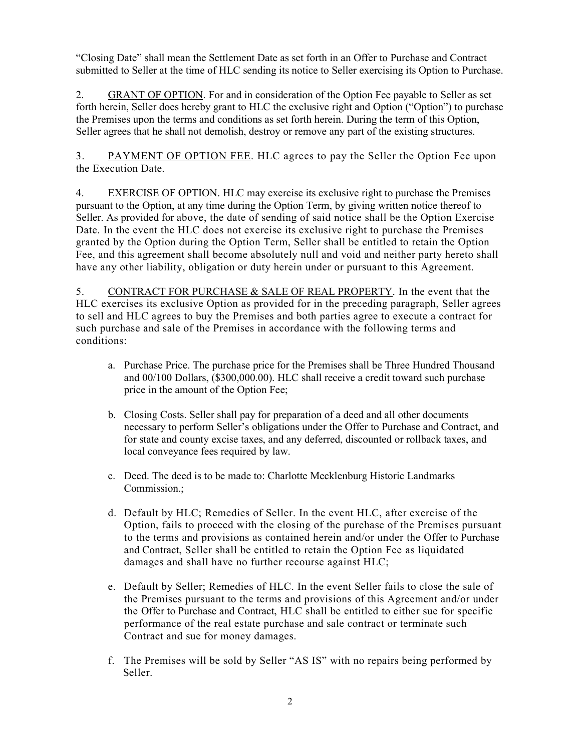"Closing Date" shall mean the Settlement Date as set forth in an Offer to Purchase and Contract submitted to Seller at the time of HLC sending its notice to Seller exercising its Option to Purchase.

2. GRANT OF OPTION. For and in consideration of the Option Fee payable to Seller as set forth herein, Seller does hereby grant to HLC the exclusive right and Option ("Option") to purchase the Premises upon the terms and conditions as set forth herein. During the term of this Option, Seller agrees that he shall not demolish, destroy or remove any part of the existing structures.

3. PAYMENT OF OPTION FEE. HLC agrees to pay the Seller the Option Fee upon the Execution Date.

4. EXERCISE OF OPTION. HLC may exercise its exclusive right to purchase the Premises pursuant to the Option, at any time during the Option Term, by giving written notice thereof to Seller. As provided for above, the date of sending of said notice shall be the Option Exercise Date. In the event the HLC does not exercise its exclusive right to purchase the Premises granted by the Option during the Option Term, Seller shall be entitled to retain the Option Fee, and this agreement shall become absolutely null and void and neither party hereto shall have any other liability, obligation or duty herein under or pursuant to this Agreement.

5. CONTRACT FOR PURCHASE & SALE OF REAL PROPERTY. In the event that the HLC exercises its exclusive Option as provided for in the preceding paragraph, Seller agrees to sell and HLC agrees to buy the Premises and both parties agree to execute a contract for such purchase and sale of the Premises in accordance with the following terms and conditions:

- a. Purchase Price. The purchase price for the Premises shall be Three Hundred Thousand and 00/100 Dollars, (\$300,000.00). HLC shall receive a credit toward such purchase price in the amount of the Option Fee;
- b. Closing Costs. Seller shall pay for preparation of a deed and all other documents necessary to perform Seller's obligations under the Offer to Purchase and Contract, and for state and county excise taxes, and any deferred, discounted or rollback taxes, and local conveyance fees required by law.
- c. Deed. The deed is to be made to: Charlotte Mecklenburg Historic Landmarks Commission.;
- d. Default by HLC; Remedies of Seller. In the event HLC, after exercise of the Option, fails to proceed with the closing of the purchase of the Premises pursuant to the terms and provisions as contained herein and/or under the Offer to Purchase and Contract, Seller shall be entitled to retain the Option Fee as liquidated damages and shall have no further recourse against HLC;
- e. Default by Seller; Remedies of HLC. In the event Seller fails to close the sale of the Premises pursuant to the terms and provisions of this Agreement and/or under the Offer to Purchase and Contract, HLC shall be entitled to either sue for specific performance of the real estate purchase and sale contract or terminate such Contract and sue for money damages.
- f. The Premises will be sold by Seller "AS IS" with no repairs being performed by Seller.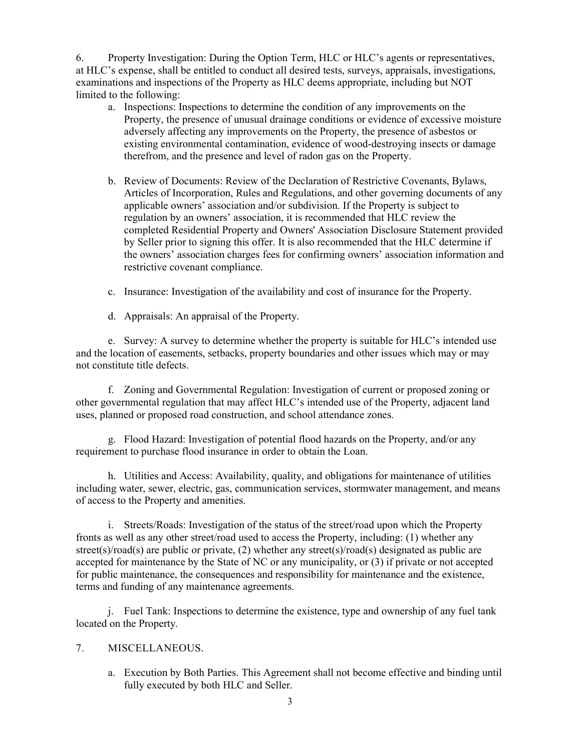6. Property Investigation: During the Option Term, HLC or HLC's agents or representatives, at HLC's expense, shall be entitled to conduct all desired tests, surveys, appraisals, investigations, examinations and inspections of the Property as HLC deems appropriate, including but NOT limited to the following:

- a. Inspections: Inspections to determine the condition of any improvements on the Property, the presence of unusual drainage conditions or evidence of excessive moisture adversely affecting any improvements on the Property, the presence of asbestos or existing environmental contamination, evidence of wood-destroying insects or damage therefrom, and the presence and level of radon gas on the Property.
- b. Review of Documents: Review of the Declaration of Restrictive Covenants, Bylaws, Articles of Incorporation, Rules and Regulations, and other governing documents of any applicable owners' association and/or subdivision. If the Property is subject to regulation by an owners' association, it is recommended that HLC review the completed Residential Property and Owners' Association Disclosure Statement provided by Seller prior to signing this offer. It is also recommended that the HLC determine if the owners' association charges fees for confirming owners' association information and restrictive covenant compliance.
- c. Insurance: Investigation of the availability and cost of insurance for the Property.
- d. Appraisals: An appraisal of the Property.

e. Survey: A survey to determine whether the property is suitable for HLC's intended use and the location of easements, setbacks, property boundaries and other issues which may or may not constitute title defects.

f. Zoning and Governmental Regulation: Investigation of current or proposed zoning or other governmental regulation that may affect HLC's intended use of the Property, adjacent land uses, planned or proposed road construction, and school attendance zones.

g. Flood Hazard: Investigation of potential flood hazards on the Property, and/or any requirement to purchase flood insurance in order to obtain the Loan.

h. Utilities and Access: Availability, quality, and obligations for maintenance of utilities including water, sewer, electric, gas, communication services, stormwater management, and means of access to the Property and amenities.

i. Streets/Roads: Investigation of the status of the street/road upon which the Property fronts as well as any other street/road used to access the Property, including: (1) whether any street(s)/road(s) are public or private, (2) whether any street(s)/road(s) designated as public are accepted for maintenance by the State of NC or any municipality, or (3) if private or not accepted for public maintenance, the consequences and responsibility for maintenance and the existence, terms and funding of any maintenance agreements.

j. Fuel Tank: Inspections to determine the existence, type and ownership of any fuel tank located on the Property.

## 7. MISCELLANEOUS.

a. Execution by Both Parties. This Agreement shall not become effective and binding until fully executed by both HLC and Seller.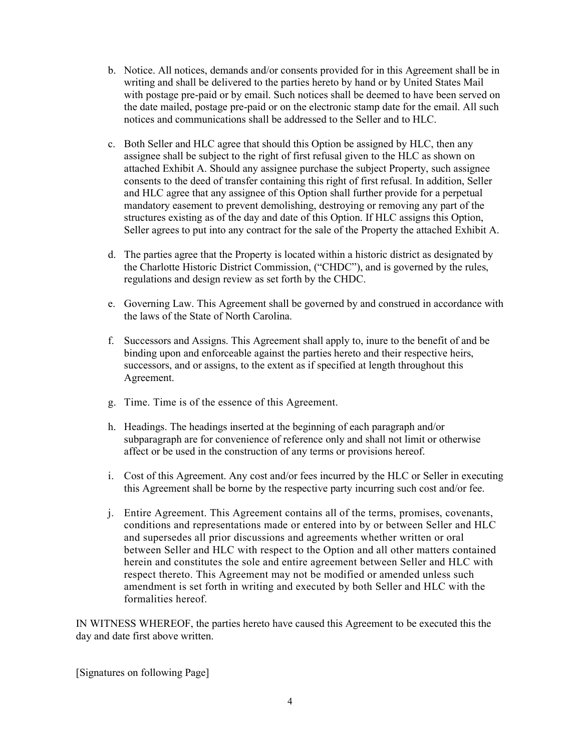- b. Notice. All notices, demands and/or consents provided for in this Agreement shall be in writing and shall be delivered to the parties hereto by hand or by United States Mail with postage pre-paid or by email. Such notices shall be deemed to have been served on the date mailed, postage pre-paid or on the electronic stamp date for the email. All such notices and communications shall be addressed to the Seller and to HLC.
- c. Both Seller and HLC agree that should this Option be assigned by HLC, then any assignee shall be subject to the right of first refusal given to the HLC as shown on attached Exhibit A. Should any assignee purchase the subject Property, such assignee consents to the deed of transfer containing this right of first refusal. In addition, Seller and HLC agree that any assignee of this Option shall further provide for a perpetual mandatory easement to prevent demolishing, destroying or removing any part of the structures existing as of the day and date of this Option. If HLC assigns this Option, Seller agrees to put into any contract for the sale of the Property the attached Exhibit A.
- d. The parties agree that the Property is located within a historic district as designated by the Charlotte Historic District Commission, ("CHDC"), and is governed by the rules, regulations and design review as set forth by the CHDC.
- e. Governing Law. This Agreement shall be governed by and construed in accordance with the laws of the State of North Carolina.
- f. Successors and Assigns. This Agreement shall apply to, inure to the benefit of and be binding upon and enforceable against the parties hereto and their respective heirs, successors, and or assigns, to the extent as if specified at length throughout this Agreement.
- g. Time. Time is of the essence of this Agreement.
- h. Headings. The headings inserted at the beginning of each paragraph and/or subparagraph are for convenience of reference only and shall not limit or otherwise affect or be used in the construction of any terms or provisions hereof.
- i. Cost of this Agreement. Any cost and/or fees incurred by the HLC or Seller in executing this Agreement shall be borne by the respective party incurring such cost and/or fee.
- j. Entire Agreement. This Agreement contains all of the terms, promises, covenants, conditions and representations made or entered into by or between Seller and HLC and supersedes all prior discussions and agreements whether written or oral between Seller and HLC with respect to the Option and all other matters contained herein and constitutes the sole and entire agreement between Seller and HLC with respect thereto. This Agreement may not be modified or amended unless such amendment is set forth in writing and executed by both Seller and HLC with the formalities hereof.

IN WITNESS WHEREOF, the parties hereto have caused this Agreement to be executed this the day and date first above written.

[Signatures on following Page]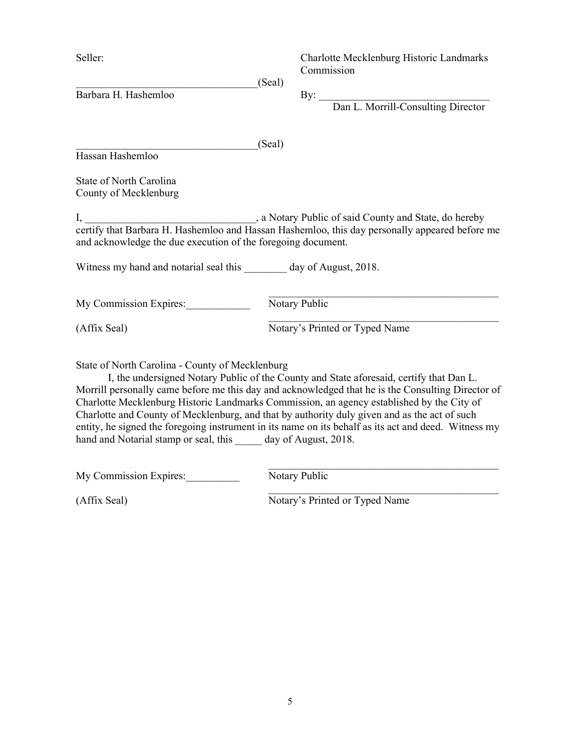Seller: Charlotte Mecklenburg Historic Landmarks Commission

 $(Seal)$ Barbara H. Hashemloo By:

Dan L. Morrill-Consulting Director

\_\_\_\_\_\_\_\_\_\_\_\_\_\_\_\_\_\_\_\_\_\_\_\_\_\_\_\_\_\_\_\_\_\_(Seal) Hassan Hashemloo

State of North Carolina County of Mecklenburg

I, \_\_\_\_\_\_\_\_\_\_\_\_\_\_\_\_\_\_\_\_\_\_\_\_\_\_\_\_\_\_\_\_, a Notary Public of said County and State, do hereby certify that Barbara H. Hashemloo and Hassan Hashemloo, this day personally appeared before me and acknowledge the due execution of the foregoing document.

Witness my hand and notarial seal this day of August, 2018.

My Commission Expires: Notary Public

(Affix Seal) Notary's Printed or Typed Name

 $\mathcal{L}_\text{max}$  and the contract of the contract of the contract of the contract of the contract of the contract of the contract of the contract of the contract of the contract of the contract of the contract of the contrac

 $\mathcal{L}_\text{max}$  and the contract of the contract of the contract of the contract of the contract of the contract of the contract of the contract of the contract of the contract of the contract of the contract of the contrac

State of North Carolina - County of Mecklenburg

I, the undersigned Notary Public of the County and State aforesaid, certify that Dan L. Morrill personally came before me this day and acknowledged that he is the Consulting Director of Charlotte Mecklenburg Historic Landmarks Commission, an agency established by the City of Charlotte and County of Mecklenburg, and that by authority duly given and as the act of such entity, he signed the foregoing instrument in its name on its behalf as its act and deed. Witness my hand and Notarial stamp or seal, this day of August, 2018.

My Commission Expires: Notary Public

 $\mathcal{L}_\text{max}$  and the contract of the contract of the contract of the contract of the contract of the contract of the contract of the contract of the contract of the contract of the contract of the contract of the contrac

(Affix Seal) Notary's Printed or Typed Name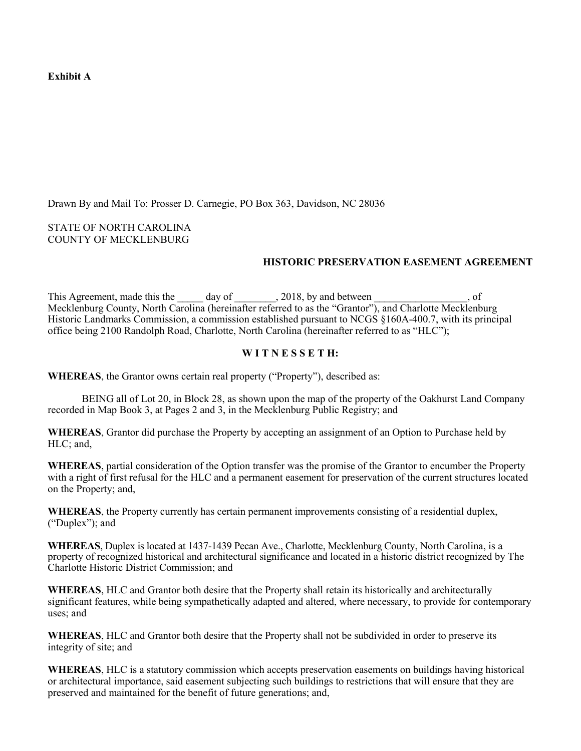**Exhibit A** 

Drawn By and Mail To: Prosser D. Carnegie, PO Box 363, Davidson, NC 28036

STATE OF NORTH CAROLINA COUNTY OF MECKLENBURG

## **HISTORIC PRESERVATION EASEMENT AGREEMENT**

This Agreement, made this the day of 2018, by and between , of Mecklenburg County, North Carolina (hereinafter referred to as the "Grantor"), and Charlotte Mecklenburg Historic Landmarks Commission, a commission established pursuant to NCGS §160A-400.7, with its principal office being 2100 Randolph Road, Charlotte, North Carolina (hereinafter referred to as "HLC");

### **W I T N E S S E T H:**

**WHEREAS**, the Grantor owns certain real property ("Property"), described as:

BEING all of Lot 20, in Block 28, as shown upon the map of the property of the Oakhurst Land Company recorded in Map Book 3, at Pages 2 and 3, in the Mecklenburg Public Registry; and

**WHEREAS**, Grantor did purchase the Property by accepting an assignment of an Option to Purchase held by HLC; and,

**WHEREAS**, partial consideration of the Option transfer was the promise of the Grantor to encumber the Property with a right of first refusal for the HLC and a permanent easement for preservation of the current structures located on the Property; and,

**WHEREAS**, the Property currently has certain permanent improvements consisting of a residential duplex, ("Duplex"); and

**WHEREAS**, Duplex is located at 1437-1439 Pecan Ave., Charlotte, Mecklenburg County, North Carolina, is a property of recognized historical and architectural significance and located in a historic district recognized by The Charlotte Historic District Commission; and

**WHEREAS**, HLC and Grantor both desire that the Property shall retain its historically and architecturally significant features, while being sympathetically adapted and altered, where necessary, to provide for contemporary uses; and

**WHEREAS**, HLC and Grantor both desire that the Property shall not be subdivided in order to preserve its integrity of site; and

**WHEREAS**, HLC is a statutory commission which accepts preservation easements on buildings having historical or architectural importance, said easement subjecting such buildings to restrictions that will ensure that they are preserved and maintained for the benefit of future generations; and,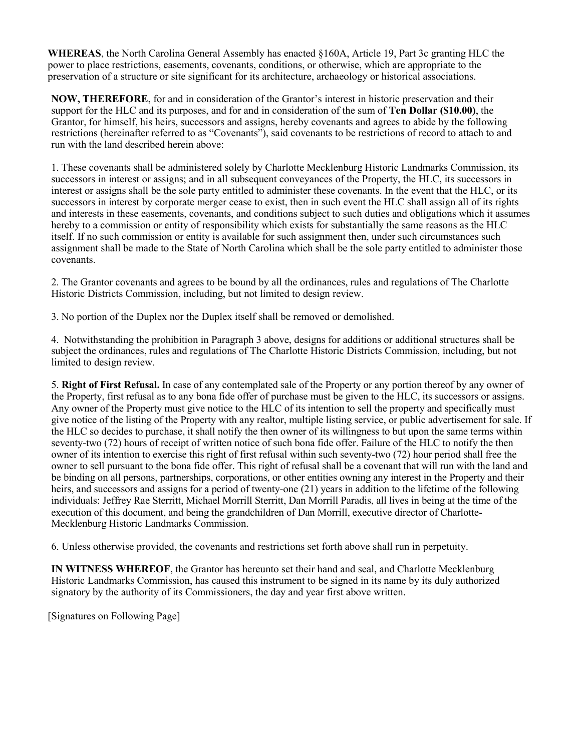**WHEREAS**, the North Carolina General Assembly has enacted §160A, Article 19, Part 3c granting HLC the power to place restrictions, easements, covenants, conditions, or otherwise, which are appropriate to the preservation of a structure or site significant for its architecture, archaeology or historical associations.

**NOW, THEREFORE**, for and in consideration of the Grantor's interest in historic preservation and their support for the HLC and its purposes, and for and in consideration of the sum of **Ten Dollar (\$10.00)**, the Grantor, for himself, his heirs, successors and assigns, hereby covenants and agrees to abide by the following restrictions (hereinafter referred to as "Covenants"), said covenants to be restrictions of record to attach to and run with the land described herein above:

1. These covenants shall be administered solely by Charlotte Mecklenburg Historic Landmarks Commission, its successors in interest or assigns; and in all subsequent conveyances of the Property, the HLC, its successors in interest or assigns shall be the sole party entitled to administer these covenants. In the event that the HLC, or its successors in interest by corporate merger cease to exist, then in such event the HLC shall assign all of its rights and interests in these easements, covenants, and conditions subject to such duties and obligations which it assumes hereby to a commission or entity of responsibility which exists for substantially the same reasons as the HLC itself. If no such commission or entity is available for such assignment then, under such circumstances such assignment shall be made to the State of North Carolina which shall be the sole party entitled to administer those covenants.

2. The Grantor covenants and agrees to be bound by all the ordinances, rules and regulations of The Charlotte Historic Districts Commission, including, but not limited to design review.

3. No portion of the Duplex nor the Duplex itself shall be removed or demolished.

4. Notwithstanding the prohibition in Paragraph 3 above, designs for additions or additional structures shall be subject the ordinances, rules and regulations of The Charlotte Historic Districts Commission, including, but not limited to design review.

5. **Right of First Refusal.** In case of any contemplated sale of the Property or any portion thereof by any owner of the Property, first refusal as to any bona fide offer of purchase must be given to the HLC, its successors or assigns. Any owner of the Property must give notice to the HLC of its intention to sell the property and specifically must give notice of the listing of the Property with any realtor, multiple listing service, or public advertisement for sale. If the HLC so decides to purchase, it shall notify the then owner of its willingness to but upon the same terms within seventy-two (72) hours of receipt of written notice of such bona fide offer. Failure of the HLC to notify the then owner of its intention to exercise this right of first refusal within such seventy-two (72) hour period shall free the owner to sell pursuant to the bona fide offer. This right of refusal shall be a covenant that will run with the land and be binding on all persons, partnerships, corporations, or other entities owning any interest in the Property and their heirs, and successors and assigns for a period of twenty-one (21) years in addition to the lifetime of the following individuals: Jeffrey Rae Sterritt, Michael Morrill Sterritt, Dan Morrill Paradis, all lives in being at the time of the execution of this document, and being the grandchildren of Dan Morrill, executive director of Charlotte-Mecklenburg Historic Landmarks Commission.

6. Unless otherwise provided, the covenants and restrictions set forth above shall run in perpetuity.

**IN WITNESS WHEREOF**, the Grantor has hereunto set their hand and seal, and Charlotte Mecklenburg Historic Landmarks Commission, has caused this instrument to be signed in its name by its duly authorized signatory by the authority of its Commissioners, the day and year first above written.

[Signatures on Following Page]